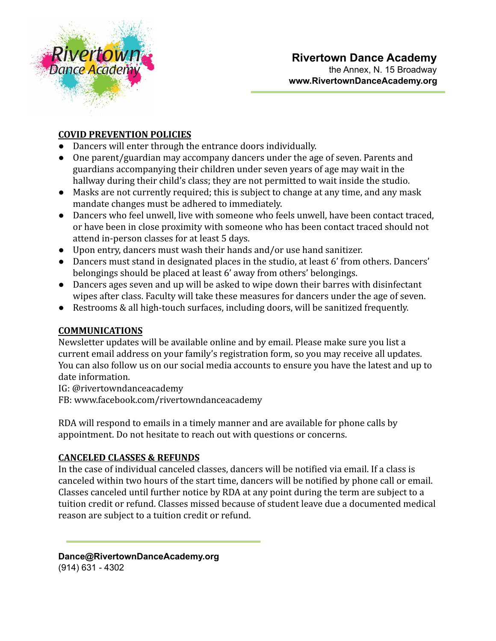

## **COVID PREVENTION POLICIES**

- Dancers will enter through the entrance doors individually.
- One parent/guardian may accompany dancers under the age of seven. Parents and guardians accompanying their children under seven years of age may wait in the hallway during their child's class; they are not permitted to wait inside the studio.
- Masks are not currently required; this is subject to change at any time, and any mask mandate changes must be adhered to immediately.
- Dancers who feel unwell, live with someone who feels unwell, have been contact traced, or have been in close proximity with someone who has been contact traced should not attend in-person classes for at least 5 days.
- Upon entry, dancers must wash their hands and/or use hand sanitizer.
- Dancers must stand in designated places in the studio, at least 6' from others. Dancers' belongings should be placed at least 6' away from others' belongings.
- Dancers ages seven and up will be asked to wipe down their barres with disinfectant wipes after class. Faculty will take these measures for dancers under the age of seven.
- Restrooms & all high-touch surfaces, including doors, will be sanitized frequently.

### **COMMUNICATIONS**

Newsletter updates will be available online and by email. Please make sure you list a current email address on your family's registration form, so you may receive all updates. You can also follow us on our social media accounts to ensure you have the latest and up to date information.

IG: @rivertowndanceacademy

FB: www.facebook.com/rivertowndanceacademy

RDA will respond to emails in a timely manner and are available for phone calls by appointment. Do not hesitate to reach out with questions or concerns.

# **CANCELED CLASSES & REFUNDS**

In the case of individual canceled classes, dancers will be notified via email. If a class is canceled within two hours of the start time, dancers will be notified by phone call or email. Classes canceled until further notice by RDA at any point during the term are subject to a tuition credit or refund. Classes missed because of student leave due a documented medical reason are subject to a tuition credit or refund.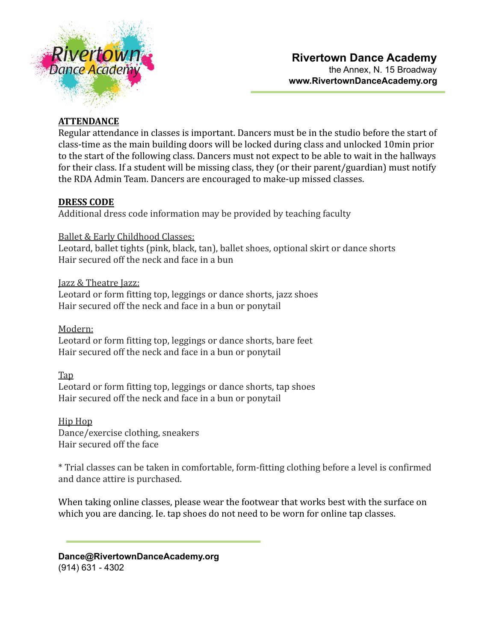

# **ATTENDANCE**

Regular attendance in classes is important. Dancers must be in the studio before the start of class-time as the main building doors will be locked during class and unlocked 10min prior to the start of the following class. Dancers must not expect to be able to wait in the hallways for their class. If a student will be missing class, they (or their parent/guardian) must notify the RDA Admin Team. Dancers are encouraged to make-up missed classes.

## **DRESS CODE**

Additional dress code information may be provided by teaching faculty

Ballet & Early Childhood Classes:

Leotard, ballet tights (pink, black, tan), ballet shoes, optional skirt or dance shorts Hair secured off the neck and face in a bun

Jazz & Theatre Jazz: Leotard or form fitting top, leggings or dance shorts, jazz shoes Hair secured off the neck and face in a bun or ponytail

Modern:

Leotard or form fitting top, leggings or dance shorts, bare feet Hair secured off the neck and face in a bun or ponytail

Tap Leotard or form fitting top, leggings or dance shorts, tap shoes Hair secured off the neck and face in a bun or ponytail

Hip Hop Dance/exercise clothing, sneakers Hair secured off the face

\* Trial classes can be taken in comfortable, form-fitting clothing before a level is confirmed and dance attire is purchased.

When taking online classes, please wear the footwear that works best with the surface on which you are dancing. Ie. tap shoes do not need to be worn for online tap classes.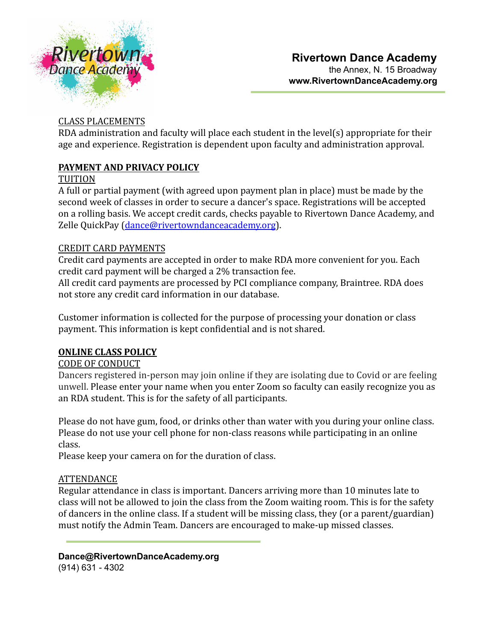

# CLASS PLACEMENTS

RDA administration and faculty will place each student in the level(s) appropriate for their age and experience. Registration is dependent upon faculty and administration approval.

## **PAYMENT AND PRIVACY POLICY**

#### TUITION

A full or partial payment (with agreed upon payment plan in place) must be made by the second week of classes in order to secure a dancer's space. Registrations will be accepted on a rolling basis. We accept credit cards, checks payable to Rivertown Dance Academy, and Zelle QuickPay [\(dance@rivertowndanceacademy.org](mailto:dance@rivertowndanceacademy.org)).

### CREDIT CARD PAYMENTS

Credit card payments are accepted in order to make RDA more convenient for you. Each credit card payment will be charged a 2% transaction fee.

All credit card payments are processed by PCI compliance company, [Braintree.](https://www.braintreepayments.com/products-and-features/data-security) RDA does not store any credit card information in our database.

Customer information is collected for the purpose of processing your donation or class payment. This information is kept confidential and is not shared.

# **ONLINE CLASS POLICY**

### CODE OF CONDUCT

Dancers registered in-person may join online if they are isolating due to Covid or are feeling unwell. Please enter your name when you enter Zoom so faculty can easily recognize you as an RDA student. This is for the safety of all participants.

Please do not have gum, food, or drinks other than water with you during your online class. Please do not use your cell phone for non-class reasons while participating in an online class.

Please keep your camera on for the duration of class.

### ATTENDANCE

Regular attendance in class is important. Dancers arriving more than 10 minutes late to class will not be allowed to join the class from the Zoom waiting room. This is for the safety of dancers in the online class. If a student will be missing class, they (or a parent/guardian) must notify the Admin Team. Dancers are encouraged to make-up missed classes.